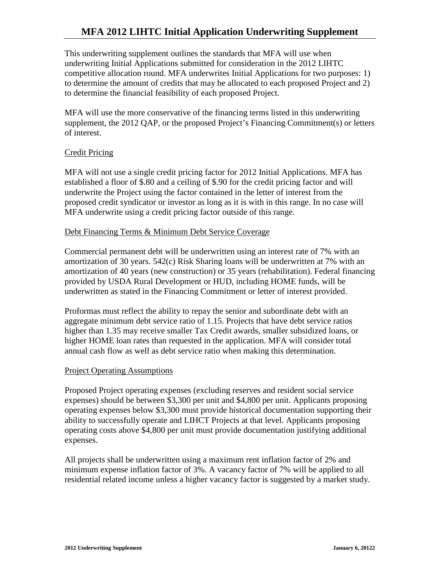# **MFA 2012 LIHTC Initial Application Underwriting Supplement**

This underwriting supplement outlines the standards that MFA will use when underwriting Initial Applications submitted for consideration in the 2012 LIHTC competitive allocation round. MFA underwrites Initial Applications for two purposes: 1) to determine the amount of credits that may be allocated to each proposed Project and 2) to determine the financial feasibility of each proposed Project.

MFA will use the more conservative of the financing terms listed in this underwriting supplement, the 2012 QAP, or the proposed Project's Financing Commitment(s) or letters of interest.

## Credit Pricing

MFA will not use a single credit pricing factor for 2012 Initial Applications. MFA has established a floor of \$.80 and a ceiling of \$.90 for the credit pricing factor and will underwrite the Project using the factor contained in the letter of interest from the proposed credit syndicator or investor as long as it is with in this range. In no case will MFA underwrite using a credit pricing factor outside of this range.

#### Debt Financing Terms & Minimum Debt Service Coverage

Commercial permanent debt will be underwritten using an interest rate of 7% with an amortization of 30 years. 542(c) Risk Sharing loans will be underwritten at 7% with an amortization of 40 years (new construction) or 35 years (rehabilitation). Federal financing provided by USDA Rural Development or HUD, including HOME funds, will be underwritten as stated in the Financing Commitment or letter of interest provided.

Proformas must reflect the ability to repay the senior and subordinate debt with an aggregate minimum debt service ratio of 1.15. Projects that have debt service ratios higher than 1.35 may receive smaller Tax Credit awards, smaller subsidized loans, or higher HOME loan rates than requested in the application. MFA will consider total annual cash flow as well as debt service ratio when making this determination.

#### Project Operating Assumptions

Proposed Project operating expenses (excluding reserves and resident social service expenses) should be between \$3,300 per unit and \$4,800 per unit. Applicants proposing operating expenses below \$3,300 must provide historical documentation supporting their ability to successfully operate and LIHCT Projects at that level. Applicants proposing operating costs above \$4,800 per unit must provide documentation justifying additional expenses.

All projects shall be underwritten using a maximum rent inflation factor of 2% and minimum expense inflation factor of 3%. A vacancy factor of 7% will be applied to all residential related income unless a higher vacancy factor is suggested by a market study.